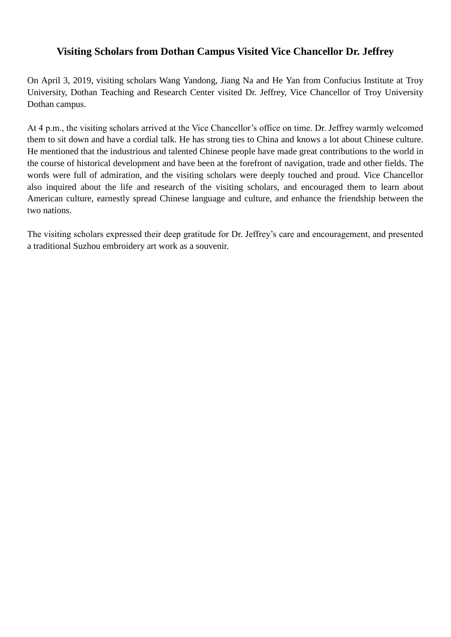## **Visiting Scholars from Dothan Campus Visited Vice Chancellor Dr. Jeffrey**

On April 3, 2019, visiting scholars Wang Yandong, Jiang Na and He Yan from Confucius Institute at Troy University, Dothan Teaching and Research Center visited Dr. Jeffrey, Vice Chancellor of Troy University Dothan campus.

At 4 p.m., the visiting scholars arrived at the Vice Chancellor's office on time. Dr. Jeffrey warmly welcomed them to sit down and have a cordial talk. He has strong ties to China and knows a lot about Chinese culture. He mentioned that the industrious and talented Chinese people have made great contributions to the world in the course of historical development and have been at the forefront of navigation, trade and other fields. The words were full of admiration, and the visiting scholars were deeply touched and proud. Vice Chancellor also inquired about the life and research of the visiting scholars, and encouraged them to learn about American culture, earnestly spread Chinese language and culture, and enhance the friendship between the two nations.

The visiting scholars expressed their deep gratitude for Dr. Jeffrey's care and encouragement, and presented a traditional Suzhou embroidery art work as a souvenir.